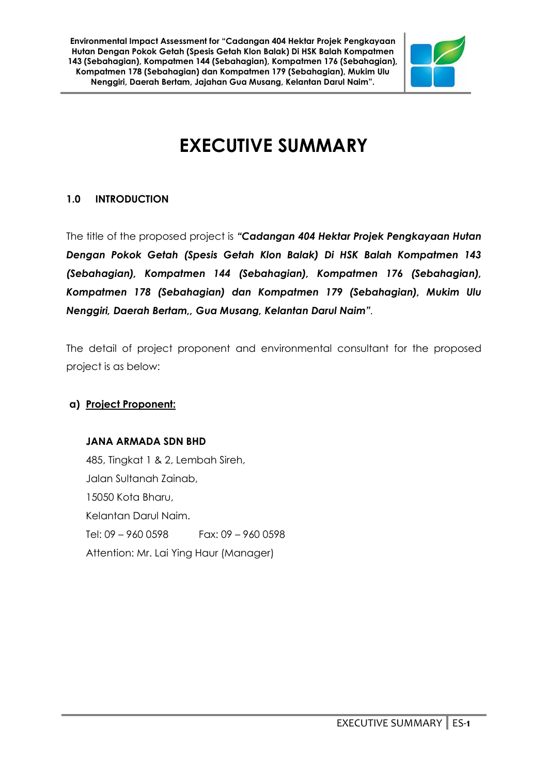

# **EXECUTIVE SUMMARY**

# **1.0 INTRODUCTION**

The title of the proposed project is *"Cadangan 404 Hektar Projek Pengkayaan Hutan Dengan Pokok Getah (Spesis Getah Klon Balak) Di HSK Balah Kompatmen 143 (Sebahagian), Kompatmen 144 (Sebahagian), Kompatmen 176 (Sebahagian), Kompatmen 178 (Sebahagian) dan Kompatmen 179 (Sebahagian), Mukim Ulu Nenggiri, Daerah Bertam,, Gua Musang, Kelantan Darul Naim".*

The detail of project proponent and environmental consultant for the proposed project is as below:

# **a) Project Proponent:**

# **JANA ARMADA SDN BHD**

485, Tingkat 1 & 2, Lembah Sireh, Jalan Sultanah Zainab, 15050 Kota Bharu, Kelantan Darul Naim. Tel: 09 – 960 0598 Fax: 09 – 960 0598 Attention: Mr. Lai Ying Haur (Manager)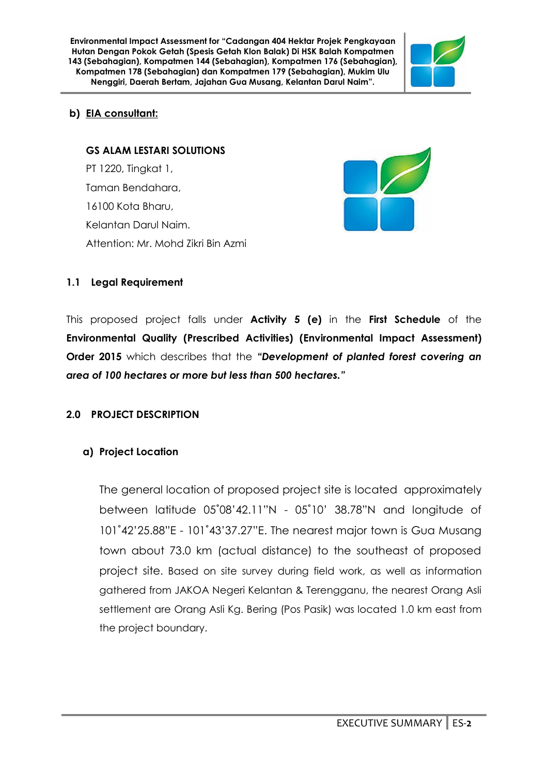

# **b) EIA consultant:**

# **GS ALAM LESTARI SOLUTIONS**

PT 1220, Tingkat 1, Taman Bendahara, 16100 Kota Bharu, Kelantan Darul Naim. Attention: Mr. Mohd Zikri Bin Azmi



# **1.1 Legal Requirement**

This proposed project falls under **Activity 5 (e)** in the **First Schedule** of the **Environmental Quality (Prescribed Activities) (Environmental Impact Assessment) Order 2015** which describes that the *"Development of planted forest covering an area of 100 hectares or more but less than 500 hectares."*

# **2.0 PROJECT DESCRIPTION**

# **a) Project Location**

The general location of proposed project site is located approximately between latitude 05˚08'42.11"N - 05˚10' 38.78"N and longitude of 101˚42'25.88"E - 101˚43'37.27"E. The nearest major town is Gua Musang town about 73.0 km (actual distance) to the southeast of proposed project site. Based on site survey during field work, as well as information gathered from JAKOA Negeri Kelantan & Terengganu, the nearest Orang Asli settlement are Orang Asli Kg. Bering (Pos Pasik) was located 1.0 km east from the project boundary.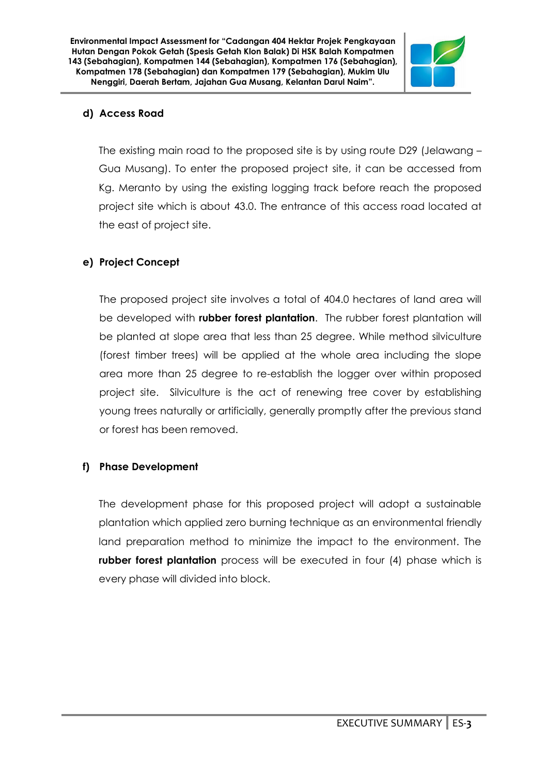

# **d) Access Road**

The existing main road to the proposed site is by using route D29 (Jelawang – Gua Musang). To enter the proposed project site, it can be accessed from Kg. Meranto by using the existing logging track before reach the proposed project site which is about 43.0. The entrance of this access road located at the east of project site.

# **e) Project Concept**

The proposed project site involves a total of 404.0 hectares of land area will be developed with **rubber forest plantation**. The rubber forest plantation will be planted at slope area that less than 25 degree. While method silviculture (forest timber trees) will be applied at the whole area including the slope area more than 25 degree to re-establish the logger over within proposed project site. Silviculture is the act of renewing tree cover by establishing young trees naturally or artificially, generally promptly after the previous stand or forest has been removed.

# **f) Phase Development**

The development phase for this proposed project will adopt a sustainable plantation which applied zero burning technique as an environmental friendly land preparation method to minimize the impact to the environment. The **rubber forest plantation** process will be executed in four (4) phase which is every phase will divided into block.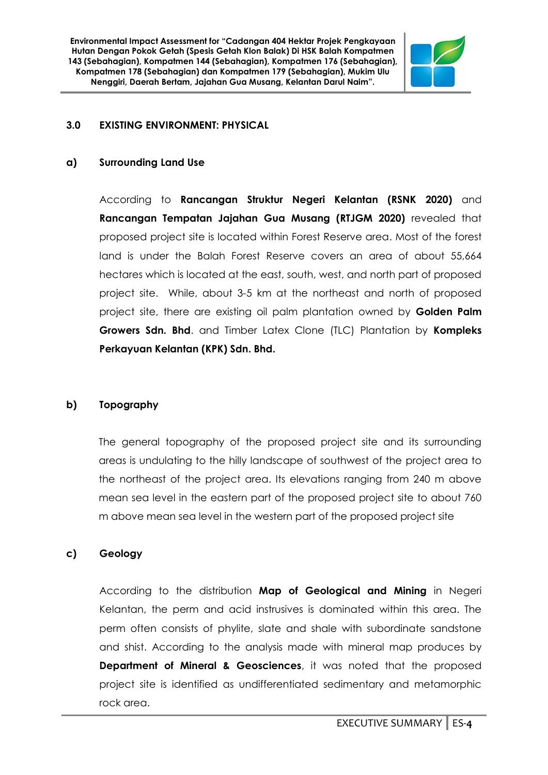

#### **3.0 EXISTING ENVIRONMENT: PHYSICAL**

#### **a) Surrounding Land Use**

According to **Rancangan Struktur Negeri Kelantan (RSNK 2020)** and **Rancangan Tempatan Jajahan Gua Musang (RTJGM 2020)** revealed that proposed project site is located within Forest Reserve area. Most of the forest land is under the Balah Forest Reserve covers an area of about 55,664 hectares which is located at the east, south, west, and north part of proposed project site. While, about 3-5 km at the northeast and north of proposed project site, there are existing oil palm plantation owned by **Golden Palm Growers Sdn. Bhd**. and Timber Latex Clone (TLC) Plantation by **Kompleks Perkayuan Kelantan (KPK) Sdn. Bhd.**

#### **b) Topography**

The general topography of the proposed project site and its surrounding areas is undulating to the hilly landscape of southwest of the project area to the northeast of the project area. Its elevations ranging from 240 m above mean sea level in the eastern part of the proposed project site to about 760 m above mean sea level in the western part of the proposed project site

#### **c) Geology**

According to the distribution **Map of Geological and Mining** in Negeri Kelantan, the perm and acid instrusives is dominated within this area. The perm often consists of phylite, slate and shale with subordinate sandstone and shist. According to the analysis made with mineral map produces by **Department of Mineral & Geosciences**, it was noted that the proposed project site is identified as undifferentiated sedimentary and metamorphic rock area.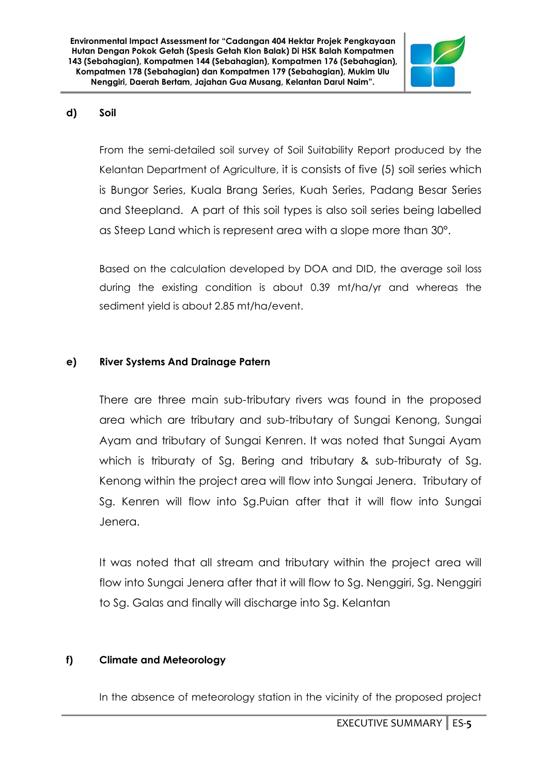

### **d) Soil**

From the semi-detailed soil survey of Soil Suitability Report produced by the Kelantan Department of Agriculture, it is consists of five (5) soil series which is Bungor Series, Kuala Brang Series, Kuah Series, Padang Besar Series and Steepland. A part of this soil types is also soil series being labelled as Steep Land which is represent area with a slope more than 30°.

Based on the calculation developed by DOA and DID, the average soil loss during the existing condition is about 0.39 mt/ha/yr and whereas the sediment yield is about 2.85 mt/ha/event.

# **e) River Systems And Drainage Patern**

There are three main sub-tributary rivers was found in the proposed area which are tributary and sub-tributary of Sungai Kenong, Sungai Ayam and tributary of Sungai Kenren. It was noted that Sungai Ayam which is triburaty of Sg. Bering and tributary & sub-triburaty of Sg. Kenong within the project area will flow into Sungai Jenera. Tributary of Sg. Kenren will flow into Sg.Puian after that it will flow into Sungai Jenera.

It was noted that all stream and tributary within the project area will flow into Sungai Jenera after that it will flow to Sg. Nenggiri, Sg. Nenggiri to Sg. Galas and finally will discharge into Sg. Kelantan

#### **f) Climate and Meteorology**

In the absence of meteorology station in the vicinity of the proposed project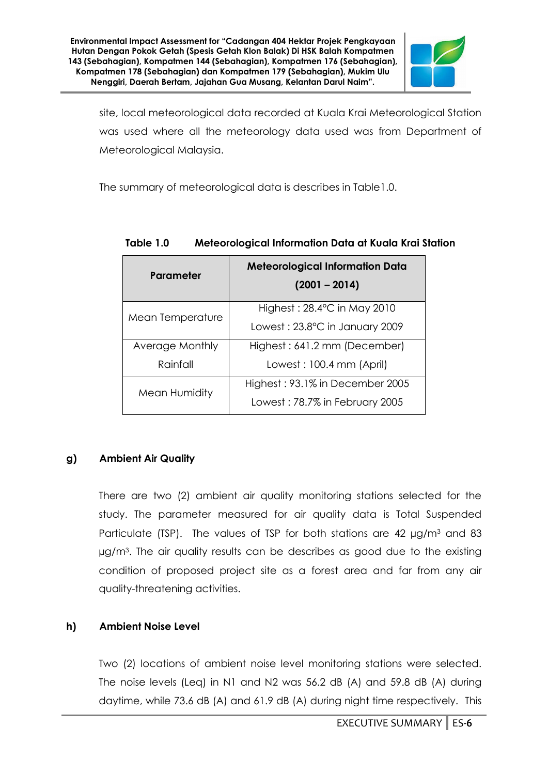

site, local meteorological data recorded at Kuala Krai Meteorological Station was used where all the meteorology data used was from Department of Meteorological Malaysia.

The summary of meteorological data is describes in Table1.0.

| Parameter        | <b>Meteorological Information Data</b><br>$(2001 - 2014)$ |
|------------------|-----------------------------------------------------------|
| Mean Temperature | Highest: $28.4^{\circ}$ C in May 2010                     |
|                  | Lowest: 23.8°C in January 2009                            |
| Average Monthly  | Highest: 641.2 mm (December)                              |
| Rainfall         | Lowest: 100.4 mm (April)                                  |
| Mean Humidity    | Highest: 93.1% in December 2005                           |
|                  | Lowest: 78.7% in February 2005                            |

# **Table 1.0 Meteorological Information Data at Kuala Krai Station**

# **g) Ambient Air Quality**

There are two (2) ambient air quality monitoring stations selected for the study. The parameter measured for air quality data is Total Suspended Particulate (TSP). The values of TSP for both stations are 42  $\mu$ g/m<sup>3</sup> and 83 µg/m<sup>3</sup> . The air quality results can be describes as good due to the existing condition of proposed project site as a forest area and far from any air quality-threatening activities.

# **h) Ambient Noise Level**

Two (2) locations of ambient noise level monitoring stations were selected. The noise levels (Leq) in N1 and N2 was 56.2 dB (A) and 59.8 dB (A) during daytime, while 73.6 dB (A) and 61.9 dB (A) during night time respectively. This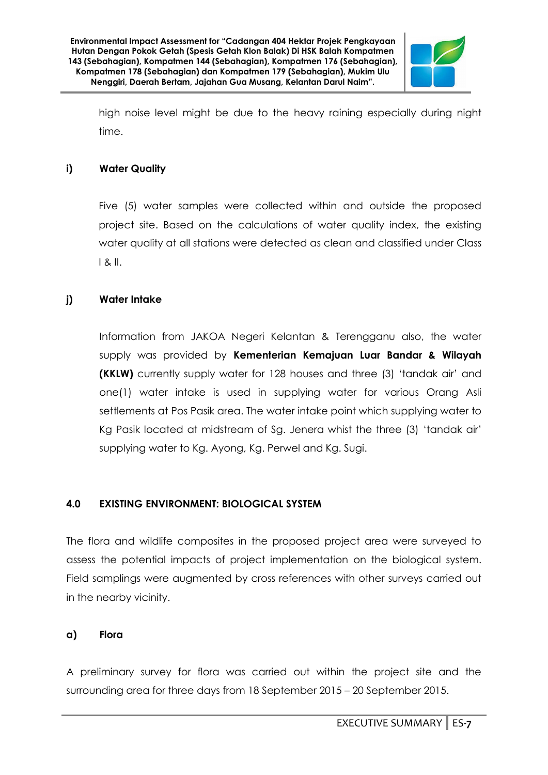

high noise level might be due to the heavy raining especially during night time.

# **i) Water Quality**

Five (5) water samples were collected within and outside the proposed project site. Based on the calculations of water quality index, the existing water quality at all stations were detected as clean and classified under Class I & II.

# **j) Water Intake**

Information from JAKOA Negeri Kelantan & Terengganu also, the water supply was provided by **Kementerian Kemajuan Luar Bandar & Wilayah (KKLW)** currently supply water for 128 houses and three (3) 'tandak air' and one(1) water intake is used in supplying water for various Orang Asli settlements at Pos Pasik area. The water intake point which supplying water to Kg Pasik located at midstream of Sg. Jenera whist the three (3) 'tandak air' supplying water to Kg. Ayong, Kg. Perwel and Kg. Sugi.

# **4.0 EXISTING ENVIRONMENT: BIOLOGICAL SYSTEM**

The flora and wildlife composites in the proposed project area were surveyed to assess the potential impacts of project implementation on the biological system. Field samplings were augmented by cross references with other surveys carried out in the nearby vicinity.

# **a) Flora**

A preliminary survey for flora was carried out within the project site and the surrounding area for three days from 18 September 2015 – 20 September 2015.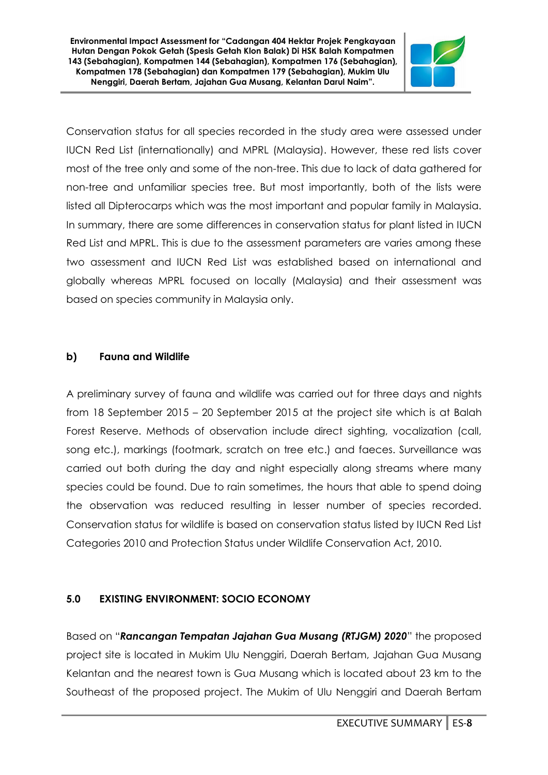

Conservation status for all species recorded in the study area were assessed under IUCN Red List (internationally) and MPRL (Malaysia). However, these red lists cover most of the tree only and some of the non-tree. This due to lack of data gathered for non-tree and unfamiliar species tree. But most importantly, both of the lists were listed all Dipterocarps which was the most important and popular family in Malaysia. In summary, there are some differences in conservation status for plant listed in IUCN Red List and MPRL. This is due to the assessment parameters are varies among these two assessment and IUCN Red List was established based on international and globally whereas MPRL focused on locally (Malaysia) and their assessment was based on species community in Malaysia only.

# **b) Fauna and Wildlife**

A preliminary survey of fauna and wildlife was carried out for three days and nights from 18 September 2015 – 20 September 2015 at the project site which is at Balah Forest Reserve. Methods of observation include direct sighting, vocalization (call, song etc.), markings (footmark, scratch on tree etc.) and faeces. Surveillance was carried out both during the day and night especially along streams where many species could be found. Due to rain sometimes, the hours that able to spend doing the observation was reduced resulting in lesser number of species recorded. Conservation status for wildlife is based on conservation status listed by IUCN Red List Categories 2010 and Protection Status under Wildlife Conservation Act, 2010.

# **5.0 EXISTING ENVIRONMENT: SOCIO ECONOMY**

Based on "*Rancangan Tempatan Jajahan Gua Musang (RTJGM) 2020*" the proposed project site is located in Mukim Ulu Nenggiri, Daerah Bertam, Jajahan Gua Musang Kelantan and the nearest town is Gua Musang which is located about 23 km to the Southeast of the proposed project. The Mukim of Ulu Nenggiri and Daerah Bertam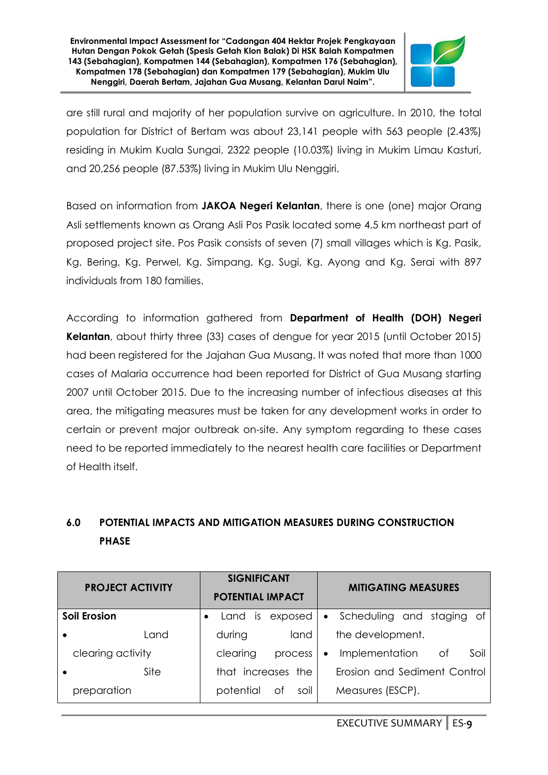

are still rural and majority of her population survive on agriculture. In 2010, the total population for District of Bertam was about 23,141 people with 563 people (2.43%) residing in Mukim Kuala Sungai, 2322 people (10.03%) living in Mukim Limau Kasturi, and 20,256 people (87.53%) living in Mukim Ulu Nenggiri.

Based on information from **JAKOA Negeri Kelantan**, there is one (one) major Orang Asli settlements known as Orang Asli Pos Pasik located some 4.5 km northeast part of proposed project site. Pos Pasik consists of seven (7) small villages which is Kg. Pasik, Kg. Bering, Kg. Perwel, Kg. Simpang, Kg. Sugi, Kg. Ayong and Kg. Serai with 897 individuals from 180 families.

According to information gathered from **Department of Health (DOH) Negeri Kelantan**, about thirty three (33) cases of dengue for year 2015 (until October 2015) had been registered for the Jajahan Gua Musang. It was noted that more than 1000 cases of Malaria occurrence had been reported for District of Gua Musang starting 2007 until October 2015. Due to the increasing number of infectious diseases at this area, the mitigating measures must be taken for any development works in order to certain or prevent major outbreak on-site. Any symptom regarding to these cases need to be reported immediately to the nearest health care facilities or Department of Health itself.

# **6.0 POTENTIAL IMPACTS AND MITIGATION MEASURES DURING CONSTRUCTION PHASE**

| <b>PROJECT ACTIVITY</b> | <b>SIGNIFICANT</b><br><b>POTENTIAL IMPACT</b> | <b>MITIGATING MEASURES</b>                |
|-------------------------|-----------------------------------------------|-------------------------------------------|
| <b>Soil Erosion</b>     | exposed<br>Land<br>is.                        | • Scheduling and staging of               |
| l and                   | during<br>land                                | the development.                          |
| clearing activity       | clearing<br>process                           | Implementation<br>Soil<br>Οf<br>$\bullet$ |
| Site                    | that increases the                            | Erosion and Sediment Control              |
| preparation             | 0f<br>potential<br>soil                       | Measures (ESCP).                          |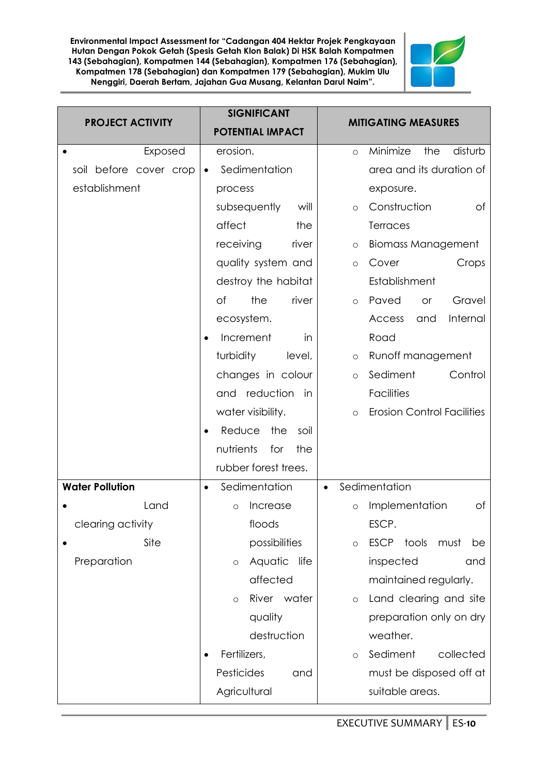

| <b>PROJECT ACTIVITY</b> | <b>SIGNIFICANT</b><br><b>POTENTIAL IMPACT</b> | <b>MITIGATING MEASURES</b>                   |
|-------------------------|-----------------------------------------------|----------------------------------------------|
| Exposed                 | erosion.                                      | Minimize<br>disturb<br>the<br>$\circ$        |
| soil before cover crop  | Sedimentation                                 | area and its duration of                     |
| establishment           | process                                       | exposure.                                    |
|                         | subsequently<br>will                          | Construction<br>Оf<br>$\circ$                |
|                         | affect<br>the                                 | <b>Terraces</b>                              |
|                         | receiving<br>river                            | <b>Biomass Management</b><br>$\circ$         |
|                         | quality system and                            | Crops<br>Cover<br>$\circ$                    |
|                         | destroy the habitat                           | Establishment                                |
|                         | of<br>the<br>river                            | Paved<br>Gravel<br><b>or</b><br>$\circ$      |
|                         | ecosystem.                                    | Internal<br>Access<br>and                    |
|                         | Increment<br>in                               | Road                                         |
|                         | turbidity<br>level,                           | Runoff management<br>$\circ$                 |
|                         | changes in colour                             | Sediment<br>Control<br>$\circ$               |
|                         | and reduction in                              | <b>Facilities</b>                            |
|                         | water visibility.                             | <b>Erosion Control Facilities</b><br>$\circ$ |
|                         | Reduce<br>the<br>soil                         |                                              |
|                         | nutrients<br>the<br>for                       |                                              |
|                         | rubber forest trees.                          |                                              |
| <b>Water Pollution</b>  | Sedimentation                                 | Sedimentation<br>$\bullet$                   |
| Land                    | Increase<br>$\Omega$                          | Implementation<br>Оf<br>$\circ$              |
| clearing activity       | floods                                        | ESCP.                                        |
| Site                    | possibilities                                 | ESCP tools<br>must<br>be<br>$\circ$          |
| Preparation             | Aquatic<br>life<br>$\circ$                    | inspected<br>and                             |
|                         | affected                                      | maintained regularly.                        |
|                         | River water<br>$\circ$                        | Land clearing and site<br>$\circ$            |
|                         | quality                                       | preparation only on dry                      |
|                         | destruction                                   | weather.                                     |
|                         | Fertilizers,                                  | Sediment<br>collected<br>$\circ$             |
|                         | Pesticides<br>and                             | must be disposed off at                      |
|                         | Agricultural                                  | suitable areas.                              |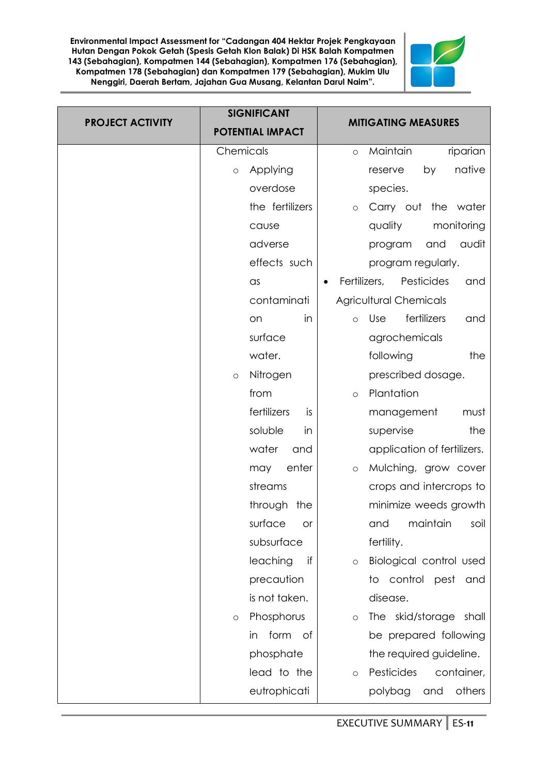

| <b>PROJECT ACTIVITY</b> | <b>SIGNIFICANT</b><br><b>POTENTIAL IMPACT</b> | <b>MITIGATING MEASURES</b>                     |
|-------------------------|-----------------------------------------------|------------------------------------------------|
|                         | Chemicals                                     | Maintain<br>riparian<br>$\circ$                |
|                         | Applying<br>$\circ$                           | native<br>by<br>reserve                        |
|                         | overdose                                      | species.                                       |
|                         | the fertilizers                               | Carry out<br>the<br>water<br>$\circ$           |
|                         | cause                                         | quality<br>monitoring                          |
|                         | adverse                                       | audit<br>program<br>and                        |
|                         | effects such                                  | program regularly.                             |
|                         | $\alpha$ s                                    | Fertilizers,<br>Pesticides<br>and<br>$\bullet$ |
|                         | contaminati                                   | <b>Agricultural Chemicals</b>                  |
|                         | in<br>on                                      | fertilizers<br>Use<br>and<br>$\circ$           |
|                         | surface                                       | agrochemicals                                  |
|                         | water.                                        | following<br>the                               |
|                         | Nitrogen<br>$\circ$                           | prescribed dosage.                             |
|                         | from                                          | Plantation<br>$\circ$                          |
|                         | fertilizers<br>is                             | management<br>must                             |
|                         | soluble<br>in                                 | supervise<br>the                               |
|                         | water<br>and                                  | application of fertilizers.                    |
|                         | enter<br>may                                  | Mulching, grow cover<br>$\circ$                |
|                         | streams                                       | crops and intercrops to                        |
|                         | through the                                   | minimize weeds growth                          |
|                         | surface<br><b>or</b>                          | and<br>maintain<br>soil                        |
|                         | subsurface                                    | fertility.                                     |
|                         | leaching<br>if                                | Biological control used<br>$\circ$             |
|                         | precaution                                    | to control pest<br>and                         |
|                         | is not taken.                                 | disease.                                       |
|                         | Phosphorus<br>$\circ$                         | The skid/storage<br>shall<br>$\circ$           |
|                         | form of<br>in                                 | be prepared following                          |
|                         | phosphate                                     | the required guideline.                        |
|                         | lead to the                                   | Pesticides<br>container,<br>$\circ$            |
|                         | eutrophicati                                  | polybag<br>others<br>and                       |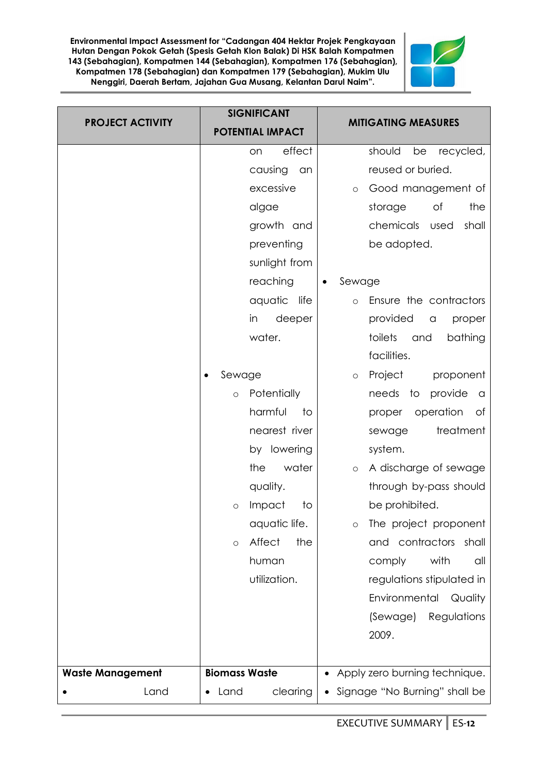

| <b>PROJECT ACTIVITY</b> | <b>SIGNIFICANT</b>       | <b>MITIGATING MEASURES</b>        |
|-------------------------|--------------------------|-----------------------------------|
|                         | <b>POTENTIAL IMPACT</b>  |                                   |
|                         | effect<br>on             | should<br>recycled,<br>be         |
|                         | causing<br>an            | reused or buried.                 |
|                         | excessive                | Good management of<br>$\circ$     |
|                         | algae                    | storage<br>Оf<br>the              |
|                         | growth and               | chemicals used<br>shall           |
|                         | preventing               | be adopted.                       |
|                         | sunlight from            |                                   |
|                         | reaching                 | Sewage                            |
|                         | aquatic<br>life          | Ensure the contractors<br>$\circ$ |
|                         | in<br>deeper             | provided<br>proper<br>a           |
|                         | water.                   | toilets<br>and<br>bathing         |
|                         |                          | facilities.                       |
|                         | Sewage                   | Project<br>proponent<br>$\circ$   |
|                         | Potentially<br>$\circ$   | needs<br>to<br>provide<br>a       |
|                         | harmful<br>to            | operation<br>of<br>proper         |
|                         | nearest river            | treatment<br>sewage               |
|                         | by lowering              | system.                           |
|                         | water<br>the             | A discharge of sewage<br>$\circ$  |
|                         | quality.                 | through by-pass should            |
|                         | Impact<br>to<br>O        | be prohibited.                    |
|                         | aquatic life.            | The project proponent<br>$\circ$  |
|                         | Affect<br>the<br>$\circ$ | and contractors<br>shall          |
|                         | human                    | with<br>comply<br>all             |
|                         | utilization.             | regulations stipulated in         |
|                         |                          | Environmental<br>Quality          |
|                         |                          | (Sewage)<br>Regulations           |
|                         |                          | 2009.                             |
|                         |                          |                                   |
| <b>Waste Management</b> | <b>Biomass Waste</b>     | Apply zero burning technique.     |
| Land                    | clearing<br>Land         | Signage "No Burning" shall be     |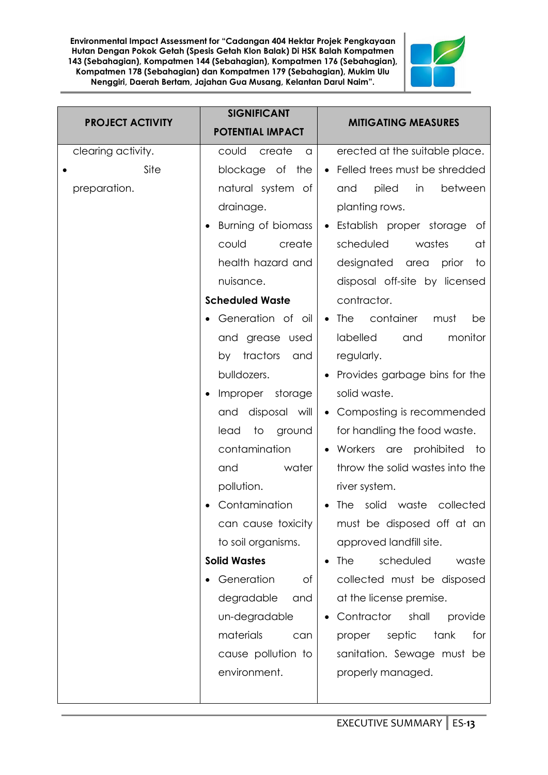

| <b>PROJECT ACTIVITY</b>                    | <b>SIGNIFICANT</b><br><b>POTENTIAL IMPACT</b>                                                                                                                                                                                                                                                                                                                                                                                                                                                                                      | <b>MITIGATING MEASURES</b>                                                                                                                                                                                                                                                                                                                                                                                                                                                                                                                                                                                                                                                                                                                                                                                                                         |
|--------------------------------------------|------------------------------------------------------------------------------------------------------------------------------------------------------------------------------------------------------------------------------------------------------------------------------------------------------------------------------------------------------------------------------------------------------------------------------------------------------------------------------------------------------------------------------------|----------------------------------------------------------------------------------------------------------------------------------------------------------------------------------------------------------------------------------------------------------------------------------------------------------------------------------------------------------------------------------------------------------------------------------------------------------------------------------------------------------------------------------------------------------------------------------------------------------------------------------------------------------------------------------------------------------------------------------------------------------------------------------------------------------------------------------------------------|
| clearing activity.<br>Site<br>preparation. | could<br>create<br>a<br>blockage<br>of the<br>natural system of<br>drainage.<br>Burning of biomass<br>could<br>create<br>health hazard and<br>nuisance.<br><b>Scheduled Waste</b><br>Generation of oil<br>and grease used<br>tractors<br>and<br>by<br>bulldozers.<br>Improper<br>storage<br>and disposal will<br>lead<br>ground<br>to<br>contamination<br>water<br>and<br>pollution.<br>Contamination<br>can cause toxicity<br>to soil organisms.<br><b>Solid Wastes</b><br>Generation<br>of<br>degradable<br>and<br>un-degradable | erected at the suitable place.<br>Felled trees must be shredded<br>$\bullet$<br>piled<br>between<br>in<br>and<br>planting rows.<br>Establish proper storage<br>ot<br>$\bullet$<br>scheduled<br>wastes<br>at<br>designated<br>prior<br>area<br>to<br>disposal off-site by licensed<br>contractor.<br>container<br>The<br>must<br>be<br>$\bullet$<br>labelled<br>monitor<br>and<br>regularly.<br>Provides garbage bins for the<br>solid waste.<br>Composting is recommended<br>$\bullet$<br>for handling the food waste.<br>Workers<br>prohibited to<br>are<br>throw the solid wastes into the<br>river system.<br>The solid waste<br>collected<br>must be disposed off at an<br>approved landfill site.<br><b>The</b><br>scheduled<br>waste<br>collected must be disposed<br>at the license premise.<br>Contractor<br>shall<br>provide<br>$\bullet$ |
|                                            | materials<br>can<br>cause pollution to<br>environment.                                                                                                                                                                                                                                                                                                                                                                                                                                                                             | septic<br>tank<br>for<br>proper<br>sanitation. Sewage must be<br>properly managed.                                                                                                                                                                                                                                                                                                                                                                                                                                                                                                                                                                                                                                                                                                                                                                 |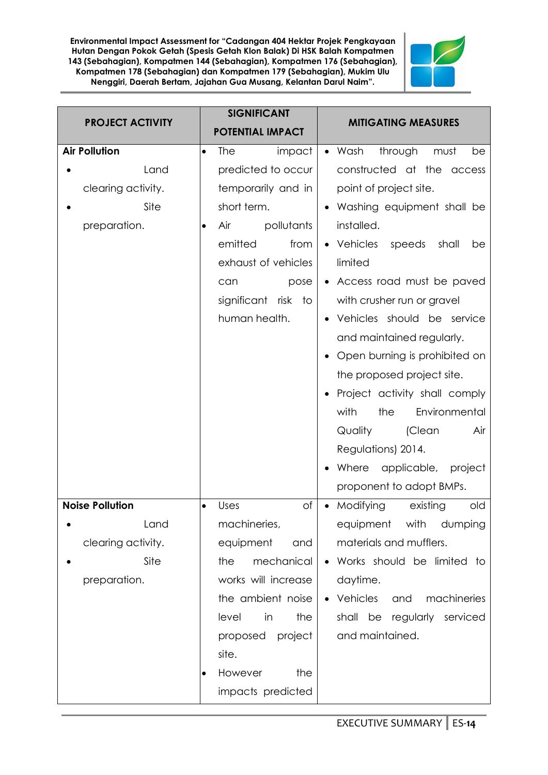

| <b>PROJECT ACTIVITY</b> | <b>SIGNIFICANT</b><br><b>POTENTIAL IMPACT</b> | <b>MITIGATING MEASURES</b>                     |
|-------------------------|-----------------------------------------------|------------------------------------------------|
| <b>Air Pollution</b>    | impact<br>The<br>$\bullet$                    | $\bullet$ Wash<br>through<br>must<br>be        |
| Land                    | predicted to occur                            | constructed at the access                      |
| clearing activity.      | temporarily and in                            | point of project site.                         |
| Site                    | short term.                                   | Washing equipment shall be                     |
| preparation.            | Air<br>pollutants<br>٠                        | installed.                                     |
|                         | emitted<br>from                               | Vehicles<br>speeds<br>shall<br>be<br>$\bullet$ |
|                         | exhaust of vehicles                           | limited                                        |
|                         | can<br>pose                                   | • Access road must be paved                    |
|                         | significant<br>risk<br>to                     | with crusher run or gravel                     |
|                         | human health.                                 | Vehicles should be service                     |
|                         |                                               | and maintained regularly.                      |
|                         |                                               | Open burning is prohibited on                  |
|                         |                                               | the proposed project site.                     |
|                         |                                               | Project activity shall comply                  |
|                         |                                               | with<br>the<br>Environmental                   |
|                         |                                               | Quality<br>(Clean<br>Air                       |
|                         |                                               | Regulations) 2014.                             |
|                         |                                               | applicable,<br>Where<br>project                |
|                         |                                               | proponent to adopt BMPs.                       |
| <b>Noise Pollution</b>  | of<br>Uses<br>$\bullet$                       | Modifying<br>existing<br>old<br>$\bullet$      |
| Land                    | machineries,                                  | with dumping<br>equipment                      |
| clearing activity.      | equipment<br>and                              | materials and mufflers.                        |
| Site                    | mechanical<br>the                             | Works should be limited to                     |
| preparation.            | works will increase                           | daytime.                                       |
|                         | the ambient noise                             | Vehicles<br>and<br>machineries                 |
|                         | level<br>the<br>in                            | shall be regularly<br>serviced                 |
|                         | project<br>proposed                           | and maintained.                                |
|                         | site.                                         |                                                |
|                         | However<br>the                                |                                                |
|                         | impacts predicted                             |                                                |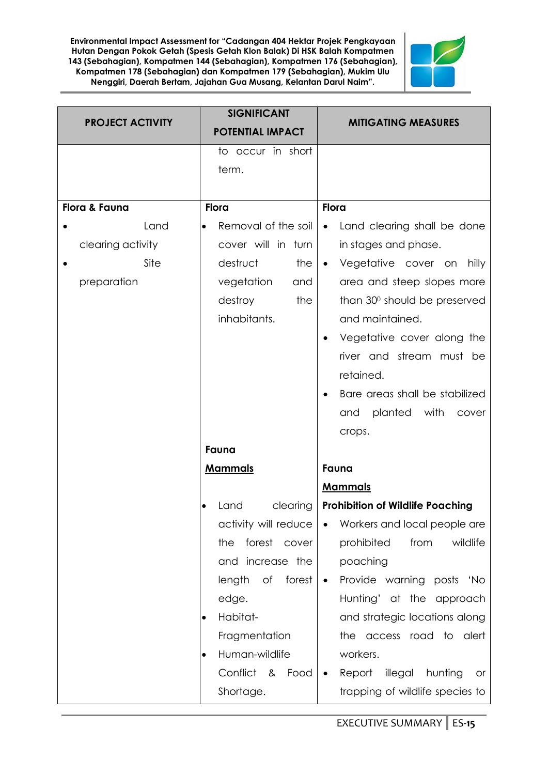

| <b>PROJECT ACTIVITY</b> | <b>SIGNIFICANT</b><br><b>POTENTIAL IMPACT</b> | <b>MITIGATING MEASURES</b>                      |
|-------------------------|-----------------------------------------------|-------------------------------------------------|
|                         | to occur in short                             |                                                 |
|                         | term.                                         |                                                 |
|                         |                                               |                                                 |
| Flora & Fauna           | <b>Flora</b>                                  | <b>Flora</b>                                    |
| Land                    | Removal of the soil                           | Land clearing shall be done<br>$\bullet$        |
| clearing activity       | cover will in turn                            | in stages and phase.                            |
| Site                    | destruct<br>the                               | Vegetative cover on<br>hilly<br>$\bullet$       |
| preparation             | vegetation<br>and                             | area and steep slopes more                      |
|                         | destroy<br>the                                | than 30° should be preserved                    |
|                         | inhabitants.                                  | and maintained.                                 |
|                         |                                               | Vegetative cover along the                      |
|                         |                                               | river and stream must be                        |
|                         |                                               | retained.                                       |
|                         |                                               | Bare areas shall be stabilized<br>٠             |
|                         |                                               | planted with<br>and<br>cover                    |
|                         |                                               | crops.                                          |
|                         | Fauna                                         |                                                 |
|                         | <b>Mammals</b>                                | Fauna                                           |
|                         |                                               | <b>Mammals</b>                                  |
|                         | clearing<br>Land                              | <b>Prohibition of Wildlife Poaching</b>         |
|                         | activity will reduce                          | Workers and local people are<br>$\bullet$       |
|                         | forest cover<br>the                           | prohibited<br>from<br>wildlife                  |
|                         | and increase the                              | poaching                                        |
|                         | length<br>of<br>forest                        | Provide warning posts 'No<br>$\bullet$          |
|                         | edge.                                         | Hunting' at the approach                        |
|                         | Habitat-<br>$\bullet$                         | and strategic locations along                   |
|                         | Fragmentation                                 | the access road to alert                        |
|                         | Human-wildlife<br>$\bullet$                   | workers.                                        |
|                         | Conflict &<br>Food                            | Report<br>illegal<br>hunting<br>or<br>$\bullet$ |
|                         | Shortage.                                     | trapping of wildlife species to                 |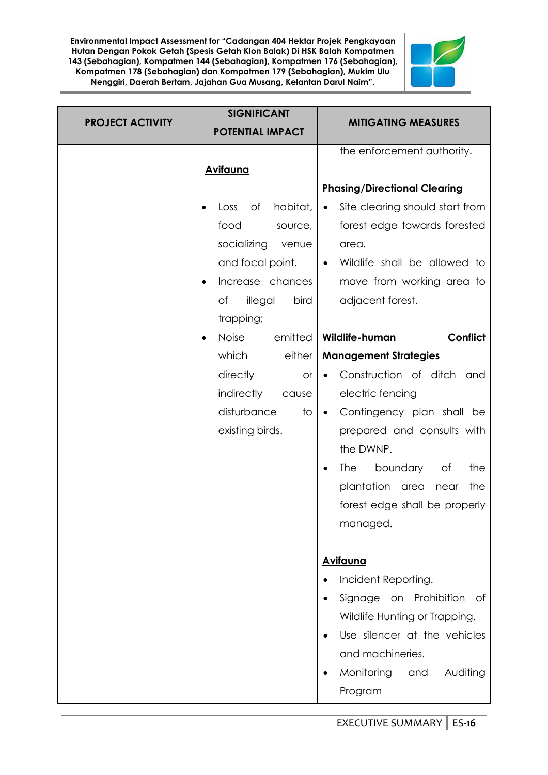

| <b>PROJECT ACTIVITY</b> | <b>SIGNIFICANT</b><br><b>POTENTIAL IMPACT</b> | <b>MITIGATING MEASURES</b>                   |
|-------------------------|-----------------------------------------------|----------------------------------------------|
|                         | <b>Avifauna</b>                               | the enforcement authority.                   |
|                         |                                               | <b>Phasing/Directional Clearing</b>          |
|                         | habitat,<br>Оf<br>Loss                        | Site clearing should start from<br>$\bullet$ |
|                         | food<br>source,                               | forest edge towards forested                 |
|                         | socializing<br>venue                          | area.                                        |
|                         | and focal point.                              | Wildlife shall be allowed to<br>$\bullet$    |
|                         | Increase chances<br>$\bullet$                 | move from working area to                    |
|                         | of<br>illegal<br>bird                         | adjacent forest.                             |
|                         | trapping;                                     |                                              |
|                         | Noise<br>emitted                              | Conflict<br>Wildlife-human                   |
|                         | which<br>either                               | <b>Management Strategies</b>                 |
|                         | directly<br><b>or</b>                         | Construction of ditch<br>and                 |
|                         | indirectly<br>cause                           | electric fencing                             |
|                         | disturbance<br>to                             | Contingency plan shall be<br>$\bullet$       |
|                         | existing birds.                               | prepared and consults with                   |
|                         |                                               | the DWNP.                                    |
|                         |                                               | <b>The</b><br>boundary<br>the<br>Оf          |
|                         |                                               | plantation area<br>the<br>near               |
|                         |                                               | forest edge shall be properly                |
|                         |                                               | managed.                                     |
|                         |                                               |                                              |
|                         |                                               | <b>Avifauna</b>                              |
|                         |                                               | Incident Reporting.                          |
|                         |                                               | Signage<br>on Prohibition<br>of              |
|                         |                                               | Wildlife Hunting or Trapping.                |
|                         |                                               | Use silencer at the vehicles                 |
|                         |                                               | and machineries.                             |
|                         |                                               | Monitoring<br>Auditing<br>and                |
|                         |                                               | Program                                      |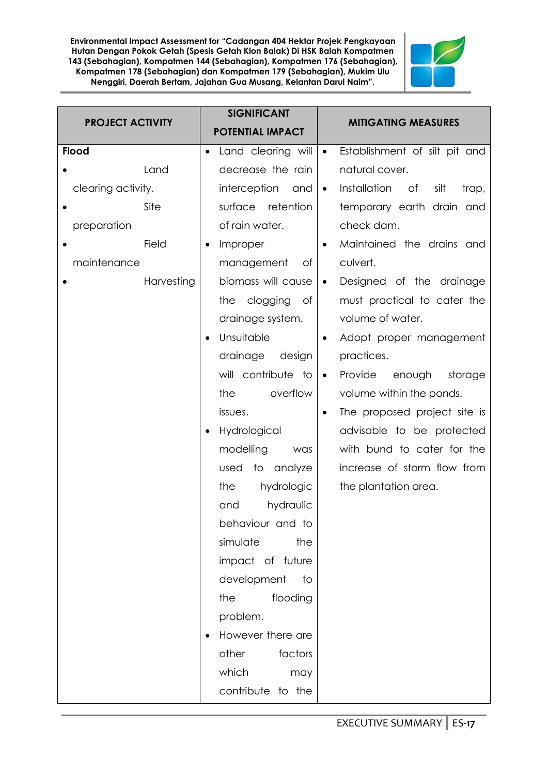

| <b>PROJECT ACTIVITY</b> | <b>SIGNIFICANT</b>      | <b>MITIGATING MEASURES</b>                       |
|-------------------------|-------------------------|--------------------------------------------------|
|                         | <b>POTENTIAL IMPACT</b> |                                                  |
| <b>Flood</b>            | Land clearing will      | Establishment of silt pit and<br>$\bullet$       |
| Land                    | decrease the rain       | natural cover.                                   |
| clearing activity.      | interception<br>and     | Installation<br>of<br>silt<br>trap,<br>$\bullet$ |
| Site                    | surface retention       | temporary earth drain and                        |
| preparation             | of rain water.          | check dam.                                       |
| Field                   | Improper                | Maintained the drains and<br>$\bullet$           |
| maintenance             | management<br>Оf        | culvert.                                         |
| Harvesting              | biomass will cause      | Designed of the drainage<br>$\bullet$            |
|                         | clogging<br>the<br>of   | must practical to cater the                      |
|                         | drainage system.        | volume of water.                                 |
|                         | Unsuitable              | Adopt proper management<br>$\bullet$             |
|                         | drainage<br>design      | practices.                                       |
|                         | will contribute to      | Provide<br>enough<br>storage<br>$\bullet$        |
|                         | overflow<br>the         | volume within the ponds.                         |
|                         | issues.                 | The proposed project site is                     |
|                         | Hydrological            | advisable to be protected                        |
|                         | modelling<br>was        | with bund to cater for the                       |
|                         | analyze<br>used<br>to   | increase of storm flow from                      |
|                         | the<br>hydrologic       | the plantation area.                             |
|                         | hydraulic<br>and        |                                                  |
|                         | behaviour and to        |                                                  |
|                         | simulate<br>the         |                                                  |
|                         | impact of future        |                                                  |
|                         | development<br>to       |                                                  |
|                         | the<br>flooding         |                                                  |
|                         | problem.                |                                                  |
|                         | However there are       |                                                  |
|                         | other<br>factors        |                                                  |
|                         | which<br>may            |                                                  |
|                         | contribute to the       |                                                  |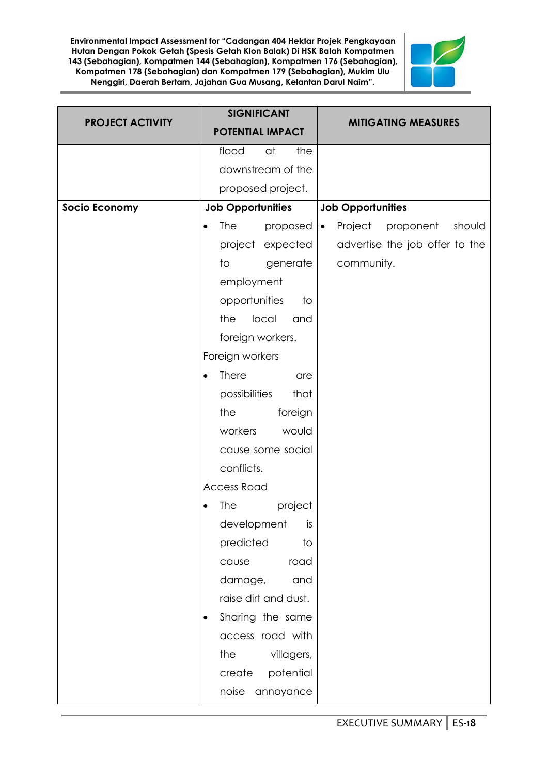

| <b>PROJECT ACTIVITY</b> | <b>SIGNIFICANT</b>                  | <b>MITIGATING MEASURES</b>                  |
|-------------------------|-------------------------------------|---------------------------------------------|
|                         | <b>POTENTIAL IMPACT</b>             |                                             |
|                         | flood<br>at<br>the                  |                                             |
|                         | downstream of the                   |                                             |
|                         | proposed project.                   |                                             |
| <b>Socio Economy</b>    | <b>Job Opportunities</b>            | <b>Job Opportunities</b>                    |
|                         | <b>The</b><br>proposed<br>$\bullet$ | Project<br>proponent<br>should<br>$\bullet$ |
|                         | project expected                    | advertise the job offer to the              |
|                         | to<br>generate                      | community.                                  |
|                         | employment                          |                                             |
|                         | opportunities<br>to                 |                                             |
|                         | the<br>local<br>and                 |                                             |
|                         | foreign workers.                    |                                             |
|                         | Foreign workers                     |                                             |
|                         | <b>There</b><br>are<br>$\bullet$    |                                             |
|                         | possibilities<br>that               |                                             |
|                         | foreign<br>the                      |                                             |
|                         | workers<br>would                    |                                             |
|                         | cause some social                   |                                             |
|                         | conflicts.                          |                                             |
|                         | <b>Access Road</b>                  |                                             |
|                         | <b>The</b><br>project               |                                             |
|                         | development<br>is                   |                                             |
|                         | predicted<br>to                     |                                             |
|                         | road<br>cause                       |                                             |
|                         | damage,<br>and                      |                                             |
|                         | raise dirt and dust.                |                                             |
|                         | Sharing the same<br>$\bullet$       |                                             |
|                         | access road with                    |                                             |
|                         | the<br>villagers,                   |                                             |
|                         | create<br>potential                 |                                             |
|                         | noise<br>annoyance                  |                                             |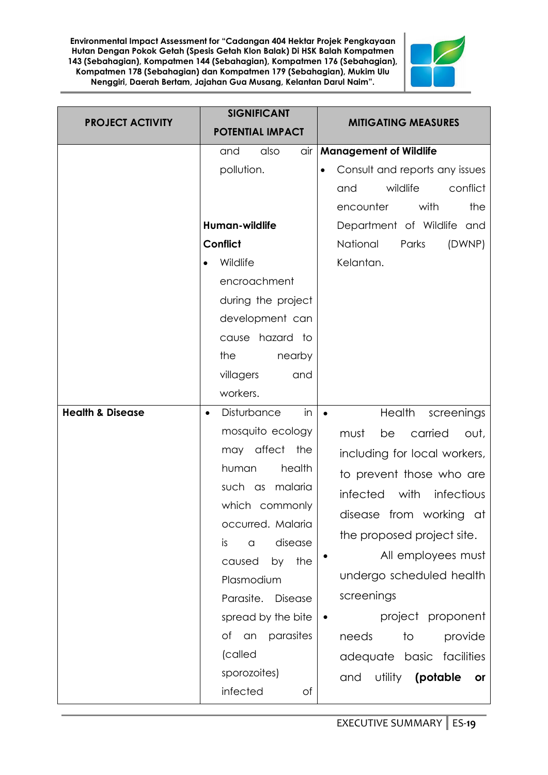

| <b>PROJECT ACTIVITY</b>     | <b>SIGNIFICANT</b><br><b>POTENTIAL IMPACT</b>                                                                                                                                                                                                                                                                              | <b>MITIGATING MEASURES</b>                                                                                                                                                                                                                                                                                                                                                                           |
|-----------------------------|----------------------------------------------------------------------------------------------------------------------------------------------------------------------------------------------------------------------------------------------------------------------------------------------------------------------------|------------------------------------------------------------------------------------------------------------------------------------------------------------------------------------------------------------------------------------------------------------------------------------------------------------------------------------------------------------------------------------------------------|
|                             | also<br>air<br>and<br>pollution.<br>Human-wildlife<br><b>Conflict</b><br>Wildlife<br>encroachment<br>during the project<br>development can<br>cause hazard to<br>the<br>nearby<br>villagers<br>and<br>workers.                                                                                                             | <b>Management of Wildlife</b><br>Consult and reports any issues<br>wildlife<br>conflict<br>and<br>with<br>encounter<br>the<br>Department of Wildlife and<br>National<br>Parks<br>(DWNP)<br>Kelantan.                                                                                                                                                                                                 |
| <b>Health &amp; Disease</b> | Disturbance<br>in<br>mosquito ecology<br>may affect the<br>health<br>human<br>such as malaria<br>which commonly<br>occurred. Malaria<br>disease<br>is<br>$\alpha$<br>the<br>by<br>caused<br>Plasmodium<br>Parasite.<br>Disease<br>spread by the bite<br>Оf<br>parasites<br>an<br>(called<br>sporozoites)<br>infected<br>Οf | Health<br>screenings<br>carried<br>must<br>be<br>out,<br>including for local workers,<br>to prevent those who are<br>with<br>infected<br>infectious<br>disease from working at<br>the proposed project site.<br>All employees must<br>undergo scheduled health<br>screenings<br>project proponent<br>needs<br>provide<br>to<br>adequate basic facilities<br>utility<br>(potable)<br>and<br><b>or</b> |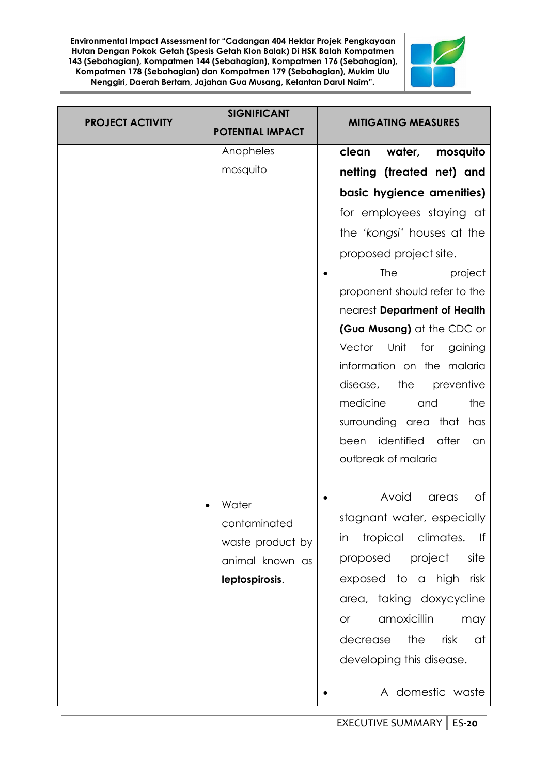

| <b>PROJECT ACTIVITY</b> | <b>SIGNIFICANT</b><br><b>POTENTIAL IMPACT</b> | <b>MITIGATING MEASURES</b>              |
|-------------------------|-----------------------------------------------|-----------------------------------------|
|                         | Anopheles                                     | water,<br>clean<br>mosquito             |
|                         | mosquito                                      | netting (treated net) and               |
|                         |                                               | basic hygience amenities)               |
|                         |                                               | for employees staying at                |
|                         |                                               | the 'kongsi' houses at the              |
|                         |                                               | proposed project site.                  |
|                         |                                               | <b>The</b><br>project                   |
|                         |                                               | proponent should refer to the           |
|                         |                                               | nearest Department of Health            |
|                         |                                               | (Gua Musang) at the CDC or              |
|                         |                                               | Vector<br>Unit<br>for<br>gaining        |
|                         |                                               | information on the malaria              |
|                         |                                               | disease,<br>the<br>preventive           |
|                         |                                               | medicine<br>the<br>and                  |
|                         |                                               | surrounding area<br>that<br>has         |
|                         |                                               | identified<br>after<br>been<br>an       |
|                         |                                               | outbreak of malaria                     |
|                         | Water                                         | Avoid<br>Оf<br>areas                    |
|                         | contaminated                                  | stagnant water, especially              |
|                         | waste product by                              | tropical climates.<br>$  \cdot  $<br>in |
|                         | animal known as                               | project<br>site<br>proposed             |
|                         | leptospirosis.                                | exposed to a high risk                  |
|                         |                                               | area, taking doxycycline                |
|                         |                                               | amoxicillin<br>may<br><b>or</b>         |
|                         |                                               | decrease the<br>risk<br>at              |
|                         |                                               | developing this disease.                |
|                         |                                               | A domestic waste                        |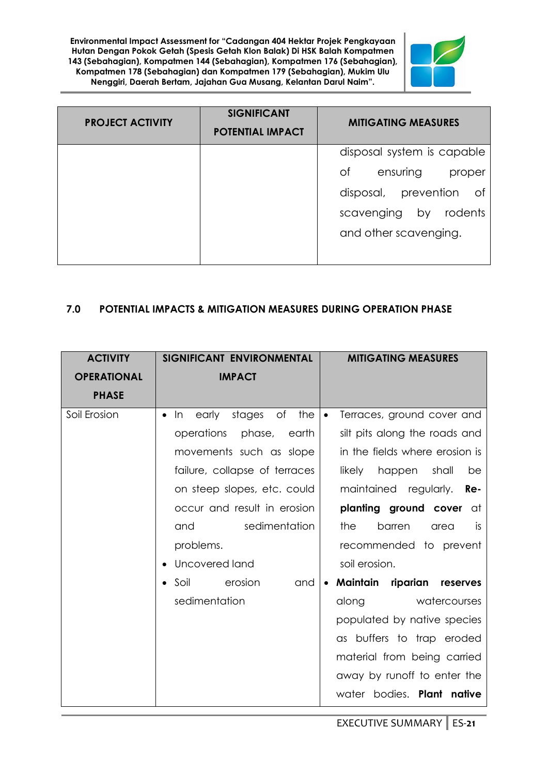

| <b>PROJECT ACTIVITY</b> | <b>SIGNIFICANT</b><br><b>POTENTIAL IMPACT</b> | <b>MITIGATING MEASURES</b>   |
|-------------------------|-----------------------------------------------|------------------------------|
|                         |                                               | disposal system is capable   |
|                         |                                               | Оf<br>ensuring<br>proper     |
|                         |                                               | disposal, prevention<br>- of |
|                         |                                               | rodents<br>scavenging<br>by  |
|                         |                                               | and other scavenging.        |
|                         |                                               |                              |

# **7.0 POTENTIAL IMPACTS & MITIGATION MEASURES DURING OPERATION PHASE**

| <b>ACTIVITY</b>    | SIGNIFICANT ENVIRONMENTAL                                    | <b>MITIGATING MEASURES</b>       |
|--------------------|--------------------------------------------------------------|----------------------------------|
| <b>OPERATIONAL</b> | <b>IMPACT</b>                                                |                                  |
| <b>PHASE</b>       |                                                              |                                  |
| Soil Erosion       | In<br>early<br>stages<br>of<br>the<br>$\bullet$<br>$\bullet$ | Terraces, ground cover and       |
|                    | operations<br>phase,<br>earth                                | silt pits along the roads and    |
|                    | movements such as slope                                      | in the fields where erosion is   |
|                    | failure, collapse of terraces                                | likely<br>happen<br>shall<br>be  |
|                    | on steep slopes, etc. could                                  | maintained regularly. <b>Re-</b> |
|                    | occur and result in erosion                                  | planting ground cover at         |
|                    | sedimentation<br>and                                         | the<br>barren<br>is<br>area      |
|                    | problems.                                                    | recommended to prevent           |
|                    | Uncovered land                                               | soil erosion.                    |
|                    | erosion<br>Soil<br>and                                       | Maintain riparian reserves       |
|                    | sedimentation                                                | watercourses<br>along            |
|                    |                                                              | populated by native species      |
|                    |                                                              | as buffers to trap eroded        |
|                    |                                                              | material from being carried      |
|                    |                                                              | away by runoff to enter the      |
|                    |                                                              | water bodies. Plant native       |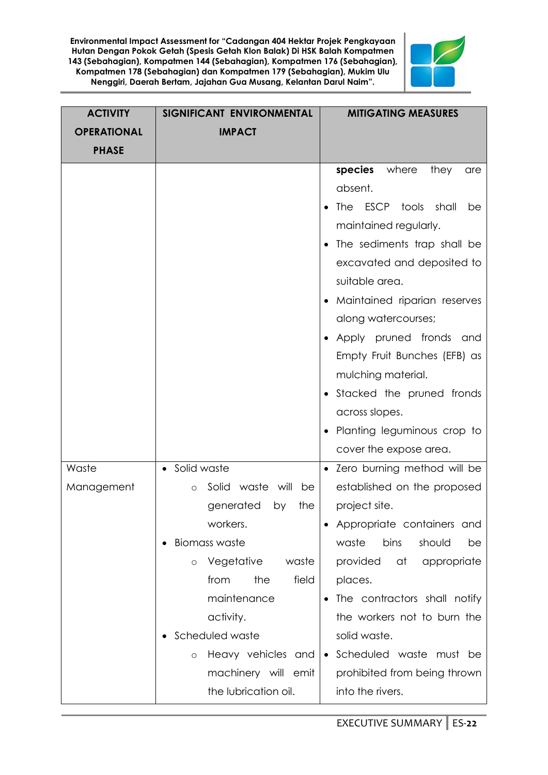

| <b>ACTIVITY</b>    | SIGNIFICANT ENVIRONMENTAL         | <b>MITIGATING MEASURES</b>               |
|--------------------|-----------------------------------|------------------------------------------|
| <b>OPERATIONAL</b> | <b>IMPACT</b>                     |                                          |
| <b>PHASE</b>       |                                   |                                          |
|                    |                                   | species<br>where<br>they<br>are          |
|                    |                                   | absent.                                  |
|                    |                                   | ESCP<br><b>The</b><br>tools shall<br>be  |
|                    |                                   | maintained regularly.                    |
|                    |                                   | The sediments trap shall be<br>$\bullet$ |
|                    |                                   | excavated and deposited to               |
|                    |                                   | suitable area.                           |
|                    |                                   | Maintained riparian reserves             |
|                    |                                   | along watercourses;                      |
|                    |                                   | Apply pruned fronds and                  |
|                    |                                   | Empty Fruit Bunches (EFB) as             |
|                    |                                   | mulching material.                       |
|                    |                                   | Stacked the pruned fronds<br>$\bullet$   |
|                    |                                   | across slopes.                           |
|                    |                                   | Planting leguminous crop to              |
|                    |                                   | cover the expose area.                   |
| Waste              | • Solid waste                     | • Zero burning method will be            |
| Management         | Solid<br>waste will be<br>$\circ$ | established on the proposed              |
|                    | generated<br>the<br>by            | project site.                            |
|                    | workers.                          | Appropriate containers and               |
|                    | <b>Biomass waste</b>              | waste<br>bins<br>should<br>be            |
|                    | Vegetative<br>waste<br>$\circ$    | provided<br>at<br>appropriate            |
|                    | field<br>the<br>from              | places.                                  |
|                    | maintenance                       | The contractors shall notify             |
|                    | activity.                         | the workers not to burn the              |
|                    | Scheduled waste                   | solid waste.                             |
|                    | Heavy vehicles and<br>$\circ$     | Scheduled waste must be<br>$\bullet$     |
|                    | machinery will emit               | prohibited from being thrown             |
|                    | the lubrication oil.              | into the rivers.                         |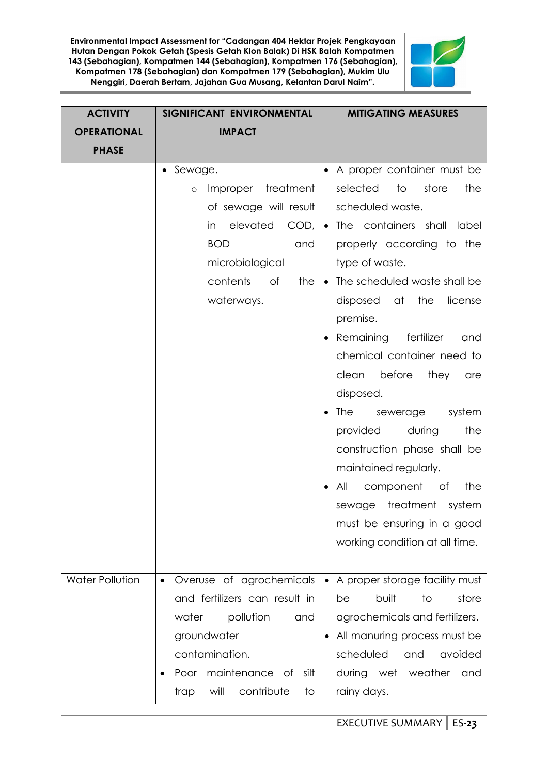

| <b>ACTIVITY</b>    | SIGNIFICANT ENVIRONMENTAL                                                                                                                                               | <b>MITIGATING MEASURES</b>                                                                                                                                                                                                                                                                                                                                                                                                                                                                                                                                                                                                                               |
|--------------------|-------------------------------------------------------------------------------------------------------------------------------------------------------------------------|----------------------------------------------------------------------------------------------------------------------------------------------------------------------------------------------------------------------------------------------------------------------------------------------------------------------------------------------------------------------------------------------------------------------------------------------------------------------------------------------------------------------------------------------------------------------------------------------------------------------------------------------------------|
| <b>OPERATIONAL</b> | <b>IMPACT</b>                                                                                                                                                           |                                                                                                                                                                                                                                                                                                                                                                                                                                                                                                                                                                                                                                                          |
| <b>PHASE</b>       |                                                                                                                                                                         |                                                                                                                                                                                                                                                                                                                                                                                                                                                                                                                                                                                                                                                          |
|                    | • Sewage.<br>Improper<br>treatment<br>$\circ$<br>of sewage will result<br>elevated<br>in<br><b>BOD</b><br>and<br>microbiological<br>contents<br>of<br>the<br>waterways. | A proper container must be<br>selected<br>to<br>store<br>the<br>scheduled waste.<br>$COD,   \bullet$ The containers shall<br>label<br>properly according to the<br>type of waste.<br>The scheduled waste shall be<br>$\bullet$<br>disposed<br>at<br>the<br>license<br>premise.<br>Remaining<br>fertilizer<br>and<br>chemical container need to<br>before<br>clean<br>they<br>are<br>disposed.<br><b>The</b><br>system<br>sewerage<br>the<br>provided<br>during<br>construction phase shall be<br>maintained regularly.<br>component<br>All<br>the<br>Оf<br>treatment<br>sewage<br>system<br>must be ensuring in a good<br>working condition at all time. |
| Water Pollution    | Overuse of agrochemicals<br>$\bullet$<br>and fertilizers can result in                                                                                                  | • A proper storage facility must<br>built<br>to<br>store<br>be                                                                                                                                                                                                                                                                                                                                                                                                                                                                                                                                                                                           |
|                    | water<br>pollution<br>and<br>groundwater                                                                                                                                | agrochemicals and fertilizers.<br>All manuring process must be                                                                                                                                                                                                                                                                                                                                                                                                                                                                                                                                                                                           |
|                    | contamination.                                                                                                                                                          | scheduled<br>avoided<br>and                                                                                                                                                                                                                                                                                                                                                                                                                                                                                                                                                                                                                              |
|                    | Poor maintenance of<br>silt<br>will<br>contribute<br>trap<br>to                                                                                                         | during wet weather and<br>rainy days.                                                                                                                                                                                                                                                                                                                                                                                                                                                                                                                                                                                                                    |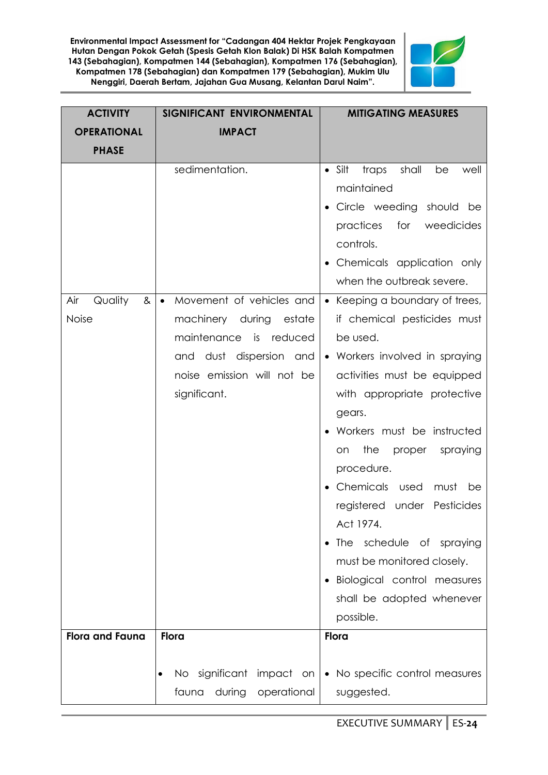

| <b>ACTIVITY</b>        | SIGNIFICANT ENVIRONMENTAL             | <b>MITIGATING MEASURES</b>                     |
|------------------------|---------------------------------------|------------------------------------------------|
| <b>OPERATIONAL</b>     | <b>IMPACT</b>                         |                                                |
| <b>PHASE</b>           |                                       |                                                |
|                        | sedimentation.                        | $\bullet$ Silt<br>shall<br>traps<br>be<br>well |
|                        |                                       | maintained                                     |
|                        |                                       | Circle weeding should be                       |
|                        |                                       | for<br>practices<br>weedicides                 |
|                        |                                       | controls.                                      |
|                        |                                       | Chemicals application only                     |
|                        |                                       | when the outbreak severe.                      |
| Quality<br>Air<br>&    | Movement of vehicles and<br>$\bullet$ | • Keeping a boundary of trees,                 |
| Noise                  | machinery during<br>estate            | if chemical pesticides must                    |
|                        | maintenance<br>is<br>reduced          | be used.                                       |
|                        | and dust dispersion and               | • Workers involved in spraying                 |
|                        | noise emission will not be            | activities must be equipped                    |
|                        | significant.                          | with appropriate protective                    |
|                        |                                       | gears.                                         |
|                        |                                       | Workers must be instructed                     |
|                        |                                       | the<br>proper<br>spraying<br>on                |
|                        |                                       | procedure.                                     |
|                        |                                       | Chemicals used<br>must<br>be                   |
|                        |                                       | registered under Pesticides<br>Act 1974.       |
|                        |                                       | The schedule of spraying                       |
|                        |                                       | must be monitored closely.                     |
|                        |                                       | Biological control measures                    |
|                        |                                       | shall be adopted whenever                      |
|                        |                                       | possible.                                      |
| <b>Flora and Fauna</b> | Flora                                 | Flora                                          |
|                        |                                       |                                                |
|                        | No significant impact on              | • No specific control measures                 |
|                        | fauna<br>during<br>operational        | suggested.                                     |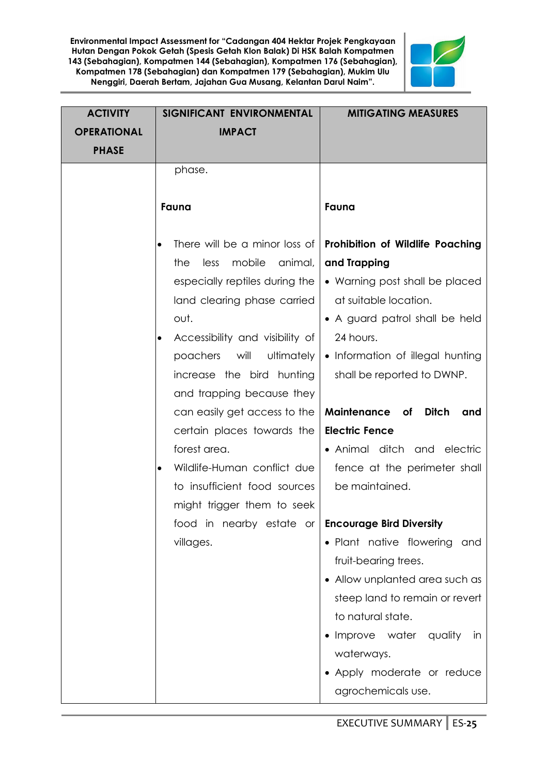

| <b>ACTIVITY</b>    | SIGNIFICANT ENVIRONMENTAL                                          | <b>MITIGATING MEASURES</b>                       |
|--------------------|--------------------------------------------------------------------|--------------------------------------------------|
| <b>OPERATIONAL</b> | <b>IMPACT</b>                                                      |                                                  |
| <b>PHASE</b>       |                                                                    |                                                  |
|                    | phase.                                                             |                                                  |
|                    |                                                                    |                                                  |
|                    | Fauna                                                              | Fauna                                            |
|                    |                                                                    |                                                  |
|                    | There will be a minor loss of<br>$\bullet$                         | Prohibition of Wildlife Poaching                 |
|                    | mobile<br>animal,<br>the<br>less<br>especially reptiles during the | and Trapping<br>• Warning post shall be placed   |
|                    | land clearing phase carried                                        | at suitable location.                            |
|                    | out.                                                               | • A guard patrol shall be held                   |
|                    | Accessibility and visibility of<br>$\bullet$                       | 24 hours.                                        |
|                    | poachers<br>will<br>ultimately                                     | • Information of illegal hunting                 |
|                    | increase the bird hunting                                          | shall be reported to DWNP.                       |
|                    | and trapping because they                                          |                                                  |
|                    | can easily get access to the                                       | Maintenance of<br><b>Ditch</b><br>and            |
|                    | certain places towards the                                         | <b>Electric Fence</b>                            |
|                    | forest area.                                                       | • Animal ditch and electric                      |
|                    |                                                                    |                                                  |
|                    | Wildlife-Human conflict due<br>$\bullet$                           | fence at the perimeter shall                     |
|                    | to insufficient food sources                                       | be maintained.                                   |
|                    | might trigger them to seek                                         |                                                  |
|                    | food in nearby estate or <b>Encourage Bird Diversity</b>           |                                                  |
|                    | villages.                                                          | • Plant native flowering<br>and                  |
|                    |                                                                    | fruit-bearing trees.                             |
|                    |                                                                    | • Allow unplanted area such as                   |
|                    |                                                                    | steep land to remain or revert                   |
|                    |                                                                    | to natural state.                                |
|                    |                                                                    | Improve water quality<br>in                      |
|                    |                                                                    | waterways.                                       |
|                    |                                                                    | • Apply moderate or reduce<br>agrochemicals use. |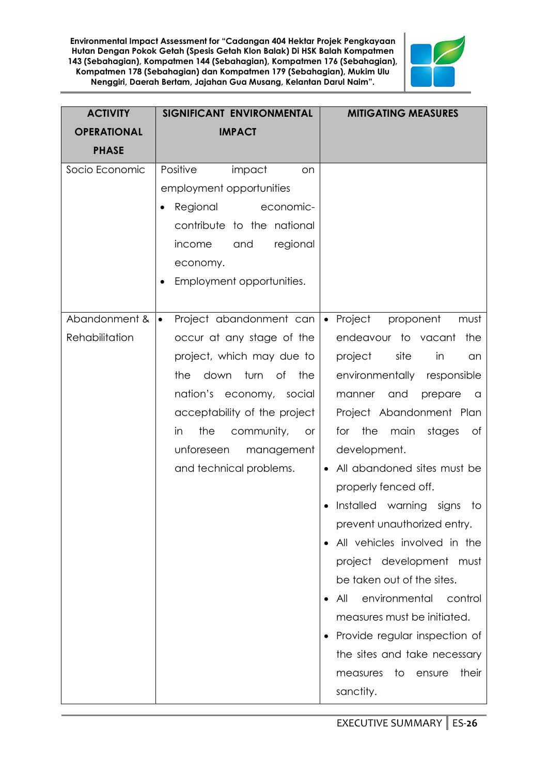

| <b>ACTIVITY</b>                 | SIGNIFICANT ENVIRONMENTAL                                                                                                                                                                                                                                                                  | <b>MITIGATING MEASURES</b>                                                                                                                                                                                                                                                                                                                                                                                                                                                                                                                                                                                                                                                  |
|---------------------------------|--------------------------------------------------------------------------------------------------------------------------------------------------------------------------------------------------------------------------------------------------------------------------------------------|-----------------------------------------------------------------------------------------------------------------------------------------------------------------------------------------------------------------------------------------------------------------------------------------------------------------------------------------------------------------------------------------------------------------------------------------------------------------------------------------------------------------------------------------------------------------------------------------------------------------------------------------------------------------------------|
| <b>OPERATIONAL</b>              | <b>IMPACT</b>                                                                                                                                                                                                                                                                              |                                                                                                                                                                                                                                                                                                                                                                                                                                                                                                                                                                                                                                                                             |
| <b>PHASE</b>                    |                                                                                                                                                                                                                                                                                            |                                                                                                                                                                                                                                                                                                                                                                                                                                                                                                                                                                                                                                                                             |
| Socio Economic                  | Positive<br>impact<br>on<br>employment opportunities<br>Regional<br>economic-<br>contribute to the national<br>income<br>and<br>regional<br>economy.<br>Employment opportunities.                                                                                                          |                                                                                                                                                                                                                                                                                                                                                                                                                                                                                                                                                                                                                                                                             |
| Abandonment &<br>Rehabilitation | Project abandonment can<br>$\bullet$<br>occur at any stage of the<br>project, which may due to<br>down<br>turn of<br>the<br>the<br>nation's economy, social<br>acceptability of the project<br>the<br>in<br>community,<br><b>or</b><br>unforeseen<br>management<br>and technical problems. | Project<br>proponent<br>must<br>$\bullet$<br>endeavour to vacant<br>the<br>project<br>site<br>in<br>an<br>environmentally responsible<br>and<br>manner<br>prepare<br>a<br>Project Abandonment Plan<br>the<br>main<br>stages<br>for<br>Оf<br>development.<br>All abandoned sites must be<br>properly fenced off.<br>Installed warning signs<br>to<br>prevent unauthorized entry.<br>All vehicles involved in the<br>project development must<br>be taken out of the sites.<br>environmental<br>control<br>All<br>$\bullet$<br>measures must be initiated.<br>Provide regular inspection of<br>the sites and take necessary<br>their<br>measures<br>to<br>ensure<br>sanctity. |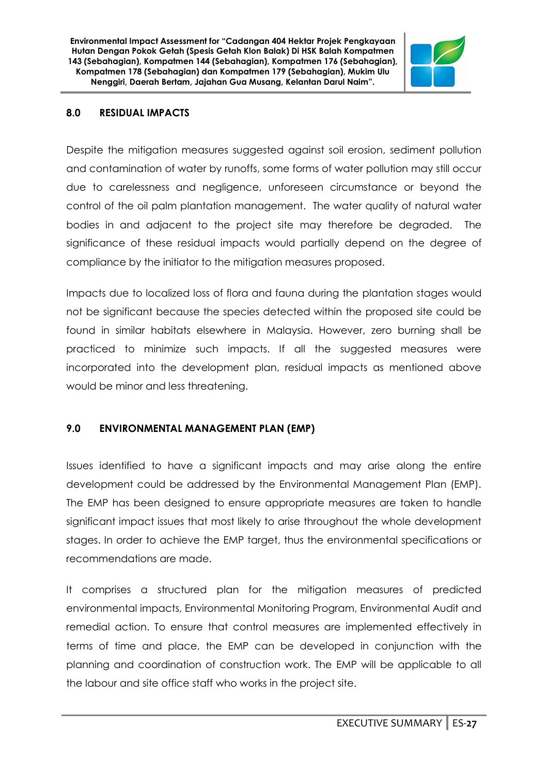

#### **8.0 RESIDUAL IMPACTS**

Despite the mitigation measures suggested against soil erosion, sediment pollution and contamination of water by runoffs, some forms of water pollution may still occur due to carelessness and negligence, unforeseen circumstance or beyond the control of the oil palm plantation management. The water quality of natural water bodies in and adjacent to the project site may therefore be degraded. The significance of these residual impacts would partially depend on the degree of compliance by the initiator to the mitigation measures proposed.

Impacts due to localized loss of flora and fauna during the plantation stages would not be significant because the species detected within the proposed site could be found in similar habitats elsewhere in Malaysia. However, zero burning shall be practiced to minimize such impacts. If all the suggested measures were incorporated into the development plan, residual impacts as mentioned above would be minor and less threatening.

#### **9.0 ENVIRONMENTAL MANAGEMENT PLAN (EMP)**

Issues identified to have a significant impacts and may arise along the entire development could be addressed by the Environmental Management Plan (EMP). The EMP has been designed to ensure appropriate measures are taken to handle significant impact issues that most likely to arise throughout the whole development stages. In order to achieve the EMP target, thus the environmental specifications or recommendations are made.

It comprises a structured plan for the mitigation measures of predicted environmental impacts, Environmental Monitoring Program, Environmental Audit and remedial action. To ensure that control measures are implemented effectively in terms of time and place, the EMP can be developed in conjunction with the planning and coordination of construction work. The EMP will be applicable to all the labour and site office staff who works in the project site.